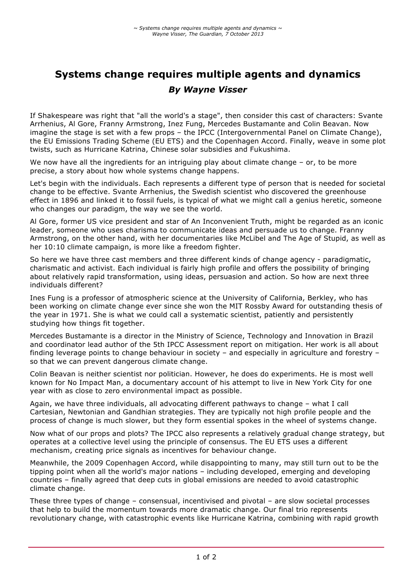## **Systems change requires multiple agents and dynamics** *By Wayne Visser*

If Shakespeare was right that "all the world's a stage", then consider this cast of characters: Svante Arrhenius, Al Gore, Franny Armstrong, Inez Fung, Mercedes Bustamante and Colin Beavan. Now imagine the stage is set with a few props - the IPCC (Intergovernmental Panel on Climate Change), the EU Emissions Trading Scheme (EU ETS) and the Copenhagen Accord. Finally, weave in some plot twists, such as Hurricane Katrina, Chinese solar subsidies and Fukushima.

We now have all the ingredients for an intriguing play about climate change – or, to be more precise, a story about how whole systems change happens.

Let's begin with the individuals. Each represents a different type of person that is needed for societal change to be effective. Svante Arrhenius, the Swedish scientist who discovered the greenhouse effect in 1896 and linked it to fossil fuels, is typical of what we might call a genius heretic, someone who changes our paradigm, the way we see the world.

Al Gore, former US vice president and star of An Inconvenient Truth, might be regarded as an iconic leader, someone who uses charisma to communicate ideas and persuade us to change. Franny Armstrong, on the other hand, with her documentaries like McLibel and The Age of Stupid, as well as her 10:10 climate campaign, is more like a freedom fighter.

So here we have three cast members and three different kinds of change agency - paradigmatic, charismatic and activist. Each individual is fairly high profile and offers the possibility of bringing about relatively rapid transformation, using ideas, persuasion and action. So how are next three individuals different?

Ines Fung is a professor of atmospheric science at the University of California, Berkley, who has been working on climate change ever since she won the MIT Rossby Award for outstanding thesis of the year in 1971. She is what we could call a systematic scientist, patiently and persistently studying how things fit together.

Mercedes Bustamante is a director in the Ministry of Science, Technology and Innovation in Brazil and coordinator lead author of the 5th IPCC Assessment report on mitigation. Her work is all about finding leverage points to change behaviour in society – and especially in agriculture and forestry – so that we can prevent dangerous climate change.

Colin Beavan is neither scientist nor politician. However, he does do experiments. He is most well known for No Impact Man, a documentary account of his attempt to live in New York City for one year with as close to zero environmental impact as possible.

Again, we have three individuals, all advocating different pathways to change – what I call Cartesian, Newtonian and Gandhian strategies. They are typically not high profile people and the process of change is much slower, but they form essential spokes in the wheel of systems change.

Now what of our props and plots? The IPCC also represents a relatively gradual change strategy, but operates at a collective level using the principle of consensus. The EU ETS uses a different mechanism, creating price signals as incentives for behaviour change.

Meanwhile, the 2009 Copenhagen Accord, while disappointing to many, may still turn out to be the tipping point when all the world's major nations – including developed, emerging and developing countries – finally agreed that deep cuts in global emissions are needed to avoid catastrophic climate change.

These three types of change – consensual, incentivised and pivotal – are slow societal processes that help to build the momentum towards more dramatic change. Our final trio represents revolutionary change, with catastrophic events like Hurricane Katrina, combining with rapid growth